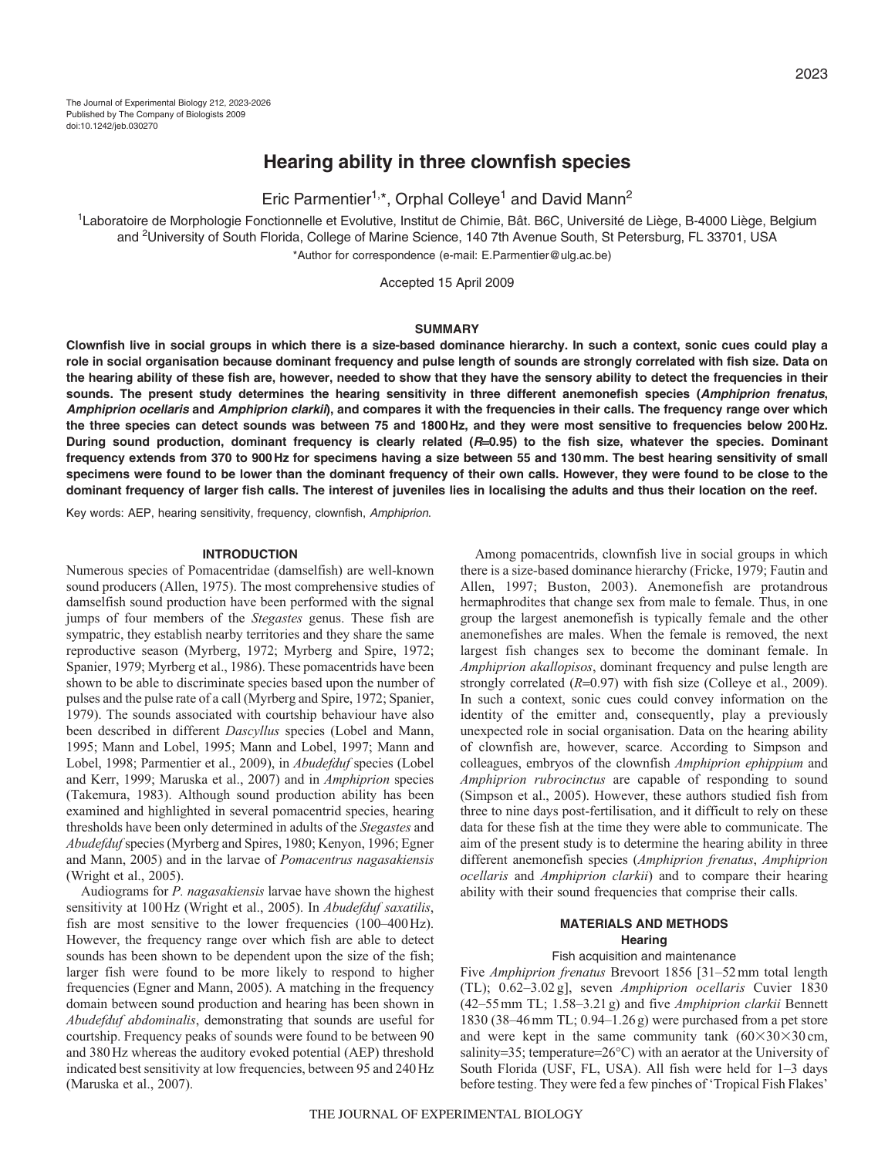# **Hearing ability in three clownfish species**

Eric Parmentier<sup>1,\*</sup>, Orphal Colleye<sup>1</sup> and David Mann<sup>2</sup>

1Laboratoire de Morphologie Fonctionnelle et Evolutive, Institut de Chimie, Bât. B6C, Université de Liège, B-4000 Liège, Belgium and <sup>2</sup>University of South Florida, College of Marine Science, 140 7th Avenue South, St Petersburg, FL 33701, USA \*Author for correspondence (e-mail: E.Parmentier@ulg.ac.be)

Accepted 15 April 2009

### **SUMMARY**

**Clownfish live in social groups in which there is a size-based dominance hierarchy. In such a context, sonic cues could play a role in social organisation because dominant frequency and pulse length of sounds are strongly correlated with fish size. Data on the hearing ability of these fish are, however, needed to show that they have the sensory ability to detect the frequencies in their sounds. The present study determines the hearing sensitivity in three different anemonefish species (Amphiprion frenatus, Amphiprion ocellaris and Amphiprion clarkii), and compares it with the frequencies in their calls. The frequency range over which the three species can detect sounds was between 75 and 1800Hz, and they were most sensitive to frequencies below 200Hz. During sound production, dominant frequency is clearly related (R**=**0.95) to the fish size, whatever the species. Dominant frequency extends from 370 to 900Hz for specimens having a size between 55 and 130mm. The best hearing sensitivity of small specimens were found to be lower than the dominant frequency of their own calls. However, they were found to be close to the dominant frequency of larger fish calls. The interest of juveniles lies in localising the adults and thus their location on the reef.**

Key words: AEP, hearing sensitivity, frequency, clownfish, Amphiprion.

### **INTRODUCTION**

Numerous species of Pomacentridae (damselfish) are well-known sound producers (Allen, 1975). The most comprehensive studies of damselfish sound production have been performed with the signal jumps of four members of the *Stegastes* genus. These fish are sympatric, they establish nearby territories and they share the same reproductive season (Myrberg, 1972; Myrberg and Spire, 1972; Spanier, 1979; Myrberg et al., 1986). These pomacentrids have been shown to be able to discriminate species based upon the number of pulses and the pulse rate of a call (Myrberg and Spire, 1972; Spanier, 1979). The sounds associated with courtship behaviour have also been described in different *Dascyllus* species (Lobel and Mann, 1995; Mann and Lobel, 1995; Mann and Lobel, 1997; Mann and Lobel, 1998; Parmentier et al., 2009), in *Abudefduf* species (Lobel and Kerr, 1999; Maruska et al., 2007) and in *Amphiprion* species (Takemura, 1983). Although sound production ability has been examined and highlighted in several pomacentrid species, hearing thresholds have been only determined in adults of the *Stegastes* and *Abudefduf* species (Myrberg and Spires, 1980; Kenyon, 1996; Egner and Mann, 2005) and in the larvae of *Pomacentrus nagasakiensis* (Wright et al., 2005).

Audiograms for *P. nagasakiensis* larvae have shown the highest sensitivity at 100Hz (Wright et al., 2005). In *Abudefduf saxatilis*, fish are most sensitive to the lower frequencies (100–400Hz). However, the frequency range over which fish are able to detect sounds has been shown to be dependent upon the size of the fish; larger fish were found to be more likely to respond to higher frequencies (Egner and Mann, 2005). A matching in the frequency domain between sound production and hearing has been shown in *Abudefduf abdominalis*, demonstrating that sounds are useful for courtship. Frequency peaks of sounds were found to be between 90 and 380Hz whereas the auditory evoked potential (AEP) threshold indicated best sensitivity at low frequencies, between 95 and 240Hz (Maruska et al., 2007).

Among pomacentrids, clownfish live in social groups in which there is a size-based dominance hierarchy (Fricke, 1979; Fautin and Allen, 1997; Buston, 2003). Anemonefish are protandrous hermaphrodites that change sex from male to female. Thus, in one group the largest anemonefish is typically female and the other anemonefishes are males. When the female is removed, the next largest fish changes sex to become the dominant female. In *Amphiprion akallopisos*, dominant frequency and pulse length are strongly correlated ( $R=0.97$ ) with fish size (Colleye et al., 2009). In such a context, sonic cues could convey information on the identity of the emitter and, consequently, play a previously unexpected role in social organisation. Data on the hearing ability of clownfish are, however, scarce. According to Simpson and colleagues, embryos of the clownfish *Amphiprion ephippium* and *Amphiprion rubrocinctus* are capable of responding to sound (Simpson et al., 2005). However, these authors studied fish from three to nine days post-fertilisation, and it difficult to rely on these data for these fish at the time they were able to communicate. The aim of the present study is to determine the hearing ability in three different anemonefish species (*Amphiprion frenatus*, *Amphiprion ocellaris* and *Amphiprion clarkii*) and to compare their hearing ability with their sound frequencies that comprise their calls.

# **MATERIALS AND METHODS Hearing**

### Fish acquisition and maintenance

Five *Amphiprion frenatus* Brevoort 1856 [31–52mm total length (TL); 0.62–3.02 g], seven *Amphiprion ocellaris* Cuvier 1830 (42–55mm TL; 1.58–3.21g) and five *Amphiprion clarkii* Bennett 1830 (38–46mm TL; 0.94–1.26g) were purchased from a pet store and were kept in the same community tank  $(60\times30\times30)$  cm, salinity=35; temperature=26°C) with an aerator at the University of South Florida (USF, FL, USA). All fish were held for 1–3 days before testing. They were fed a few pinches of 'Tropical Fish Flakes'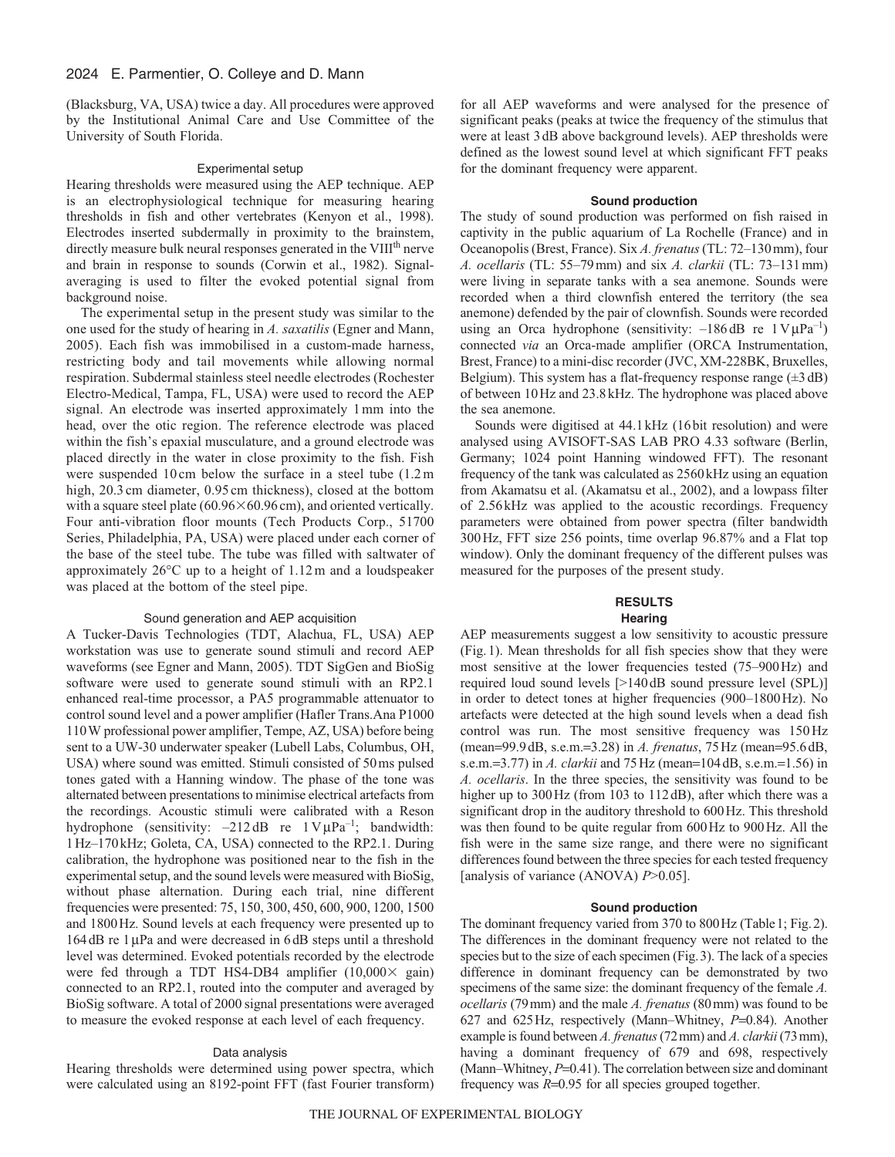(Blacksburg, VA, USA) twice a day. All procedures were approved by the Institutional Animal Care and Use Committee of the University of South Florida.

#### Experimental setup

Hearing thresholds were measured using the AEP technique. AEP is an electrophysiological technique for measuring hearing thresholds in fish and other vertebrates (Kenyon et al., 1998). Electrodes inserted subdermally in proximity to the brainstem, directly measure bulk neural responses generated in the VIII<sup>th</sup> nerve and brain in response to sounds (Corwin et al., 1982). Signalaveraging is used to filter the evoked potential signal from background noise.

The experimental setup in the present study was similar to the one used for the study of hearing in *A. saxatilis* (Egner and Mann, 2005). Each fish was immobilised in a custom-made harness, restricting body and tail movements while allowing normal respiration. Subdermal stainless steel needle electrodes (Rochester Electro-Medical, Tampa, FL, USA) were used to record the AEP signal. An electrode was inserted approximately 1 mm into the head, over the otic region. The reference electrode was placed within the fish's epaxial musculature, and a ground electrode was placed directly in the water in close proximity to the fish. Fish were suspended 10 cm below the surface in a steel tube  $(1.2 \text{ m})$ high, 20.3 cm diameter, 0.95 cm thickness), closed at the bottom with a square steel plate  $(60.96\times60.96 \text{ cm})$ , and oriented vertically. Four anti-vibration floor mounts (Tech Products Corp., 51700 Series, Philadelphia, PA, USA) were placed under each corner of the base of the steel tube. The tube was filled with saltwater of approximately 26°C up to a height of 1.12 m and a loudspeaker was placed at the bottom of the steel pipe.

### Sound generation and AEP acquisition

A Tucker-Davis Technologies (TDT, Alachua, FL, USA) AEP workstation was use to generate sound stimuli and record AEP waveforms (see Egner and Mann, 2005). TDT SigGen and BioSig software were used to generate sound stimuli with an RP2.1 enhanced real-time processor, a PA5 programmable attenuator to control sound level and a power amplifier (Hafler Trans.Ana P1000 110W professional power amplifier, Tempe, AZ, USA) before being sent to a UW-30 underwater speaker (Lubell Labs, Columbus, OH, USA) where sound was emitted. Stimuli consisted of 50ms pulsed tones gated with a Hanning window. The phase of the tone was alternated between presentations to minimise electrical artefacts from the recordings. Acoustic stimuli were calibrated with a Reson hydrophone (sensitivity:  $-212$  dB re  $1 \text{V} \mu \text{Pa}^{-1}$ ; bandwidth: 1Hz–170kHz; Goleta, CA, USA) connected to the RP2.1. During calibration, the hydrophone was positioned near to the fish in the experimental setup, and the sound levels were measured with BioSig, without phase alternation. During each trial, nine different frequencies were presented: 75, 150, 300, 450, 600, 900, 1200, 1500 and 1800Hz. Sound levels at each frequency were presented up to 164dB re 1μPa and were decreased in 6dB steps until a threshold level was determined. Evoked potentials recorded by the electrode were fed through a TDT HS4-DB4 amplifier  $(10,000 \times gain)$ connected to an RP2.1, routed into the computer and averaged by BioSig software. A total of 2000 signal presentations were averaged to measure the evoked response at each level of each frequency.

# Data analysis

Hearing thresholds were determined using power spectra, which were calculated using an 8192-point FFT (fast Fourier transform) for all AEP waveforms and were analysed for the presence of significant peaks (peaks at twice the frequency of the stimulus that were at least 3dB above background levels). AEP thresholds were defined as the lowest sound level at which significant FFT peaks for the dominant frequency were apparent.

### **Sound production**

The study of sound production was performed on fish raised in captivity in the public aquarium of La Rochelle (France) and in Oceanopolis (Brest, France). Six *A. frenatus*(TL: 72–130mm), four *A. ocellaris* (TL: 55–79mm) and six *A. clarkii* (TL: 73–131mm) were living in separate tanks with a sea anemone. Sounds were recorded when a third clownfish entered the territory (the sea anemone) defended by the pair of clownfish. Sounds were recorded using an Orca hydrophone (sensitivity:  $-186$  dB re  $1$  V $\mu$ Pa<sup>-1</sup>) connected *via* an Orca-made amplifier (ORCA Instrumentation, Brest, France) to a mini-disc recorder (JVC, XM-228BK, Bruxelles, Belgium). This system has a flat-frequency response range  $(\pm 3 \text{ dB})$ of between 10Hz and 23.8kHz. The hydrophone was placed above the sea anemone.

Sounds were digitised at 44.1kHz (16bit resolution) and were analysed using AVISOFT-SAS LAB PRO 4.33 software (Berlin, Germany; 1024 point Hanning windowed FFT). The resonant frequency of the tank was calculated as 2560kHz using an equation from Akamatsu et al. (Akamatsu et al., 2002), and a lowpass filter of 2.56kHz was applied to the acoustic recordings. Frequency parameters were obtained from power spectra (filter bandwidth 300Hz, FFT size 256 points, time overlap 96.87% and a Flat top window). Only the dominant frequency of the different pulses was measured for the purposes of the present study.

## **RESULTS Hearing**

AEP measurements suggest a low sensitivity to acoustic pressure (Fig.1). Mean thresholds for all fish species show that they were most sensitive at the lower frequencies tested (75–900Hz) and required loud sound levels [>140dB sound pressure level (SPL)] in order to detect tones at higher frequencies (900–1800Hz). No artefacts were detected at the high sound levels when a dead fish control was run. The most sensitive frequency was 150 Hz (mean=99.9dB, s.e.m.=3.28) in *A. frenatus*, 75Hz (mean=95.6dB, s.e.m.=3.77) in *A. clarkii* and 75Hz (mean=104dB, s.e.m.=1.56) in *A. ocellaris*. In the three species, the sensitivity was found to be higher up to 300Hz (from 103 to 112dB), after which there was a significant drop in the auditory threshold to 600Hz. This threshold was then found to be quite regular from 600Hz to 900Hz. All the fish were in the same size range, and there were no significant differences found between the three species for each tested frequency [analysis of variance (ANOVA) *P*>0.05].

### **Sound production**

The dominant frequency varied from 370 to 800Hz (Table1; Fig.2). The differences in the dominant frequency were not related to the species but to the size of each specimen (Fig.3). The lack of a species difference in dominant frequency can be demonstrated by two specimens of the same size: the dominant frequency of the female *A. ocellaris* (79mm) and the male *A. frenatus* (80mm) was found to be 627 and 625Hz, respectively (Mann–Whitney, *P*=0.84). Another example is found between *A. frenatus*(72mm) and *A. clarkii*(73mm), having a dominant frequency of 679 and 698, respectively (Mann–Whitney,  $P=0.41$ ). The correlation between size and dominant frequency was *R*=0.95 for all species grouped together.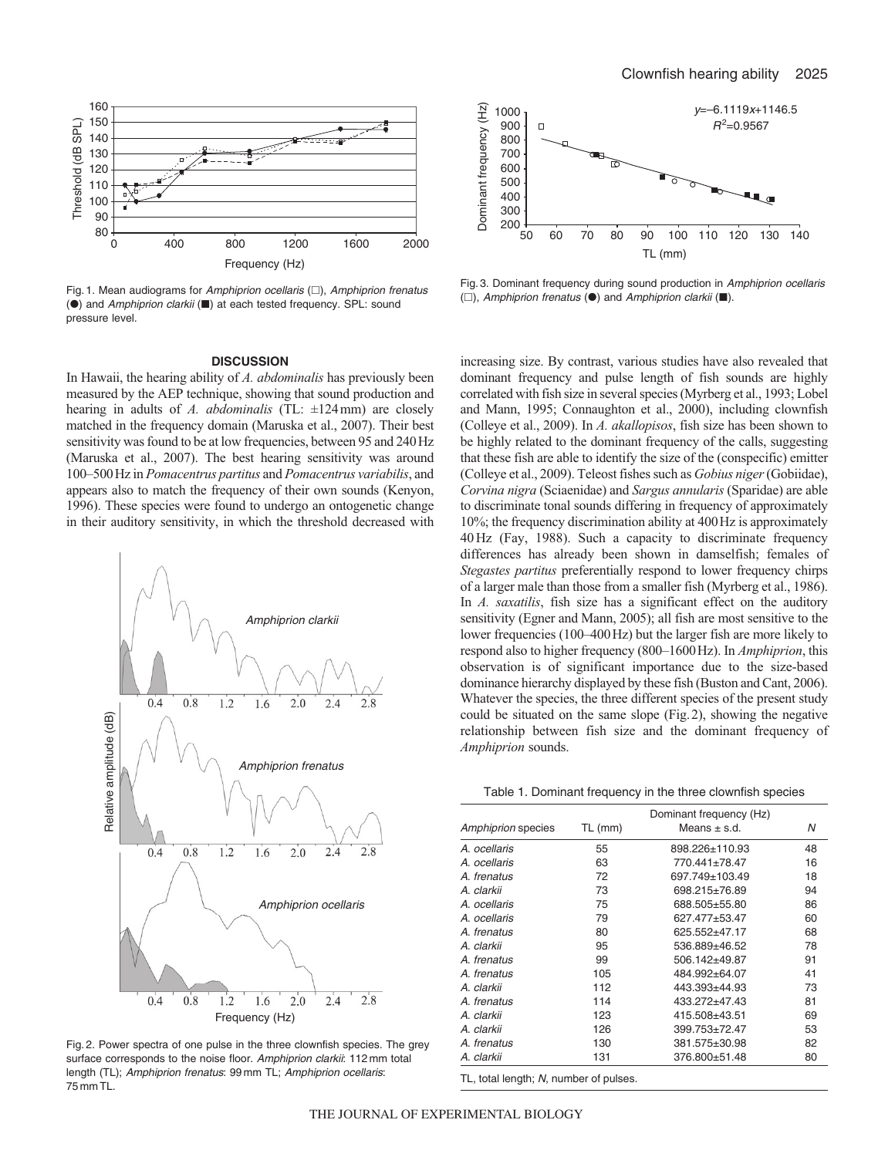

Fig. 1. Mean audiograms for Amphiprion ocellaris  $(\square)$ , Amphiprion frenatus (<sup>)</sup> and Amphiprion clarkii ( $\blacksquare$ ) at each tested frequency. SPL: sound pressure level.

### **DISCUSSION**

In Hawaii, the hearing ability of *A. abdominalis* has previously been measured by the AEP technique, showing that sound production and hearing in adults of *A. abdominalis* (TL: ±124mm) are closely matched in the frequency domain (Maruska et al., 2007). Their best sensitivity was found to be at low frequencies, between 95 and 240Hz (Maruska et al., 2007). The best hearing sensitivity was around 100–500Hz in *Pomacentrus partitus* and *Pomacentrus variabilis*, and appears also to match the frequency of their own sounds (Kenyon, 1996). These species were found to undergo an ontogenetic change in their auditory sensitivity, in which the threshold decreased with



Fig. 2. Power spectra of one pulse in the three clownfish species. The grey surface corresponds to the noise floor. Amphiprion clarkii: 112 mm total length (TL); Amphiprion frenatus: 99 mm TL; Amphiprion ocellaris: 75 mm TL.



Fig. 3. Dominant frequency during sound production in Amphiprion ocellaris  $(\Box)$ , Amphiprion frenatus  $(\bullet)$  and Amphiprion clarkii  $(\blacksquare)$ .

increasing size. By contrast, various studies have also revealed that dominant frequency and pulse length of fish sounds are highly correlated with fish size in several species (Myrberg et al., 1993; Lobel and Mann, 1995; Connaughton et al., 2000), including clownfish (Colleye et al., 2009). In *A. akallopisos*, fish size has been shown to be highly related to the dominant frequency of the calls, suggesting that these fish are able to identify the size of the (conspecific) emitter (Colleye et al., 2009). Teleost fishes such as *Gobius niger*(Gobiidae), *Corvina nigra* (Sciaenidae) and *Sargus annularis* (Sparidae) are able to discriminate tonal sounds differing in frequency of approximately 10%; the frequency discrimination ability at 400Hz is approximately 40 Hz (Fay, 1988). Such a capacity to discriminate frequency differences has already been shown in damselfish; females of *Stegastes partitus* preferentially respond to lower frequency chirps of a larger male than those from a smaller fish (Myrberg et al., 1986). In *A. saxatilis*, fish size has a significant effect on the auditory sensitivity (Egner and Mann, 2005); all fish are most sensitive to the lower frequencies (100–400Hz) but the larger fish are more likely to respond also to higher frequency (800–1600Hz). In *Amphiprion*, this observation is of significant importance due to the size-based dominance hierarchy displayed by these fish (Buston and Cant, 2006). Whatever the species, the three different species of the present study could be situated on the same slope (Fig.2), showing the negative relationship between fish size and the dominant frequency of *Amphiprion* sounds.

Table 1. Dominant frequency in the three clownfish species

| Amphiprion species | Dominant frequency (Hz) |                  |    |
|--------------------|-------------------------|------------------|----|
|                    | TL (mm)                 | Means $\pm$ s.d. | N  |
| A. ocellaris       | 55                      | 898.226±110.93   | 48 |
| A. ocellaris       | 63                      | 770.441±78.47    | 16 |
| A. frenatus        | 72                      | 697.749±103.49   | 18 |
| A. clarkii         | 73                      | 698.215±76.89    | 94 |
| A. ocellaris       | 75                      | 688.505±55.80    | 86 |
| A. ocellaris       | 79                      | 627.477±53.47    | 60 |
| A. frenatus        | 80                      | 625.552+47.17    | 68 |
| A. clarkii         | 95                      | 536.889±46.52    | 78 |
| A. frenatus        | 99                      | 506.142±49.87    | 91 |
| A. frenatus        | 105                     | 484.992±64.07    | 41 |
| A. clarkii         | 112                     | 443.393±44.93    | 73 |
| A. frenatus        | 114                     | 433.272+47.43    | 81 |
| A. clarkii         | 123                     | 415.508±43.51    | 69 |
| A. clarkii         | 126                     | 399.753±72.47    | 53 |
| A. frenatus        | 130                     | 381.575±30.98    | 82 |
| A. clarkii         | 131                     | 376.800±51.48    | 80 |

TL, total length; N, number of pulses.